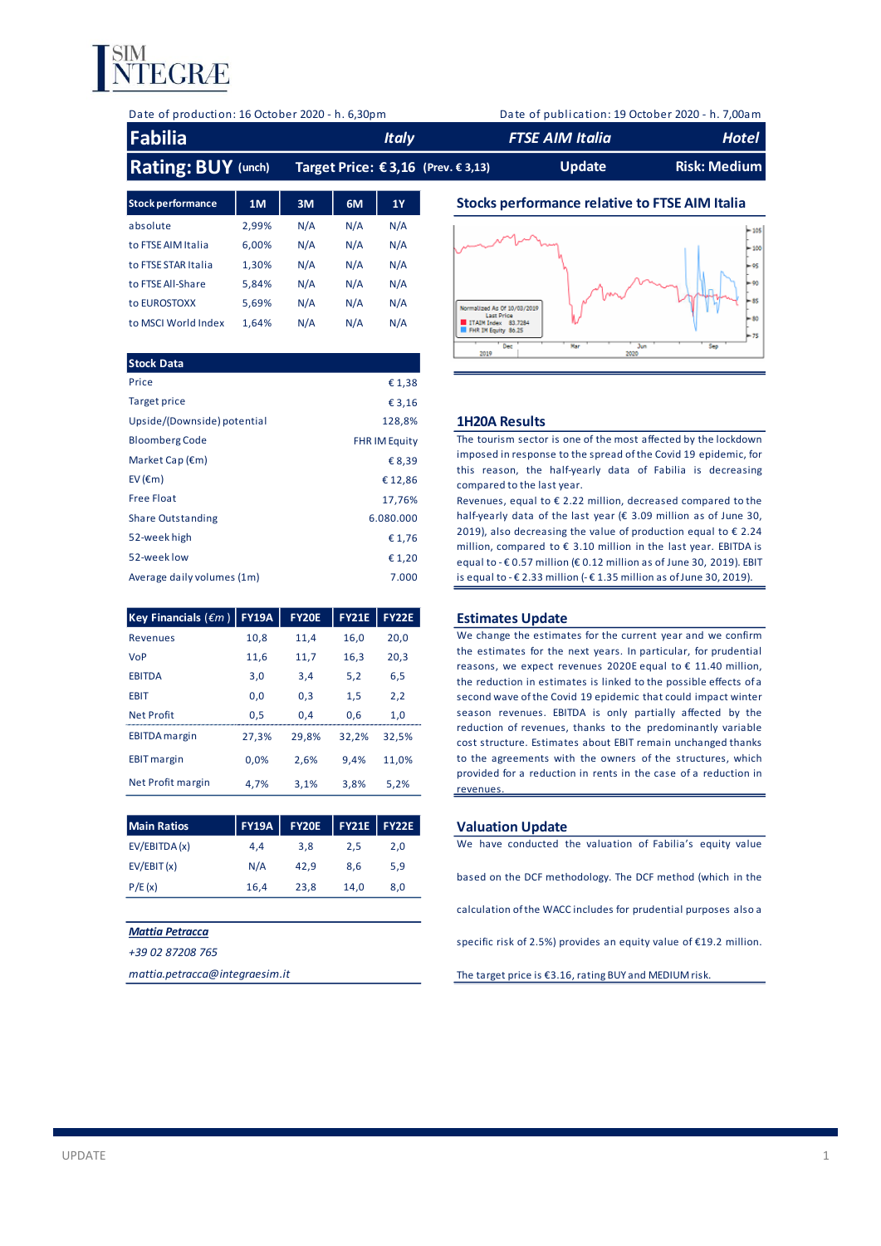

| Date of production: 16 October 2020 - h. 6,30pm |  |  |
|-------------------------------------------------|--|--|
|                                                 |  |  |

Date of publication: 19 October 2020 - h. 7,00am

| <b>Fabilia</b>            | <b>Italy</b>                            | <b>FTSE AIM Italia</b> | Hotel               |
|---------------------------|-----------------------------------------|------------------------|---------------------|
| <b>Rating: BUY (unch)</b> | Target Price: $€ 3,16$ (Prev. $€ 3,13)$ | Update                 | <b>Risk: Medium</b> |

| <b>Stock performance</b> | 1M    | 3M  | 6M  | <b>1Y</b> |
|--------------------------|-------|-----|-----|-----------|
| absolute                 | 2,99% | N/A | N/A | N/A       |
| to FTSE AIM Italia       | 6.00% | N/A | N/A | N/A       |
| to FTSE STAR Italia      | 1,30% | N/A | N/A | N/A       |
| to FTSE All-Share        | 5.84% | N/A | N/A | N/A       |
| to EUROSTOXX             | 5.69% | N/A | N/A | N/A       |
| to MSCI World Index      | 1.64% | N/A | N/A | N/A       |

| <b>Stock Data</b>           |                      | <b>GMAP</b>                                                                                                                                |
|-----------------------------|----------------------|--------------------------------------------------------------------------------------------------------------------------------------------|
| Price                       | € 1,38               |                                                                                                                                            |
| Target price                | € 3,16               |                                                                                                                                            |
| Upside/(Downside) potential | 128,8%               | <b>1H20A Results</b>                                                                                                                       |
| <b>Bloomberg Code</b>       | <b>FHR IM Equity</b> | The tourism sector is one of the most affected by the lockdown                                                                             |
| Market Cap $(\epsilon m)$   | € 8,39               | imposed in response to the spread of the Covid 19 epidemic, for                                                                            |
| EV ( $\epsilon$ m)          | €12,86               | this reason, the half-yearly data of Fabilia is decreasing<br>compared to the last year.                                                   |
| <b>Free Float</b>           | 17,76%               | Revenues, equal to $\epsilon$ 2.22 million, decreased compared to the                                                                      |
| <b>Share Outstanding</b>    | 6.080.000            | half-yearly data of the last year (€ 3.09 million as of June 30,                                                                           |
| 52-week high                | € 1,76               | 2019), also decreasing the value of production equal to $\epsilon$ 2.24<br>million, compared to € 3.10 million in the last year. EBITDA is |
| 52-week low                 | € 1,20               | equal to - € 0.57 million (€ 0.12 million as of June 30, 2019). EBIT                                                                       |
| Average daily volumes (1m)  | 7.000                | is equal to $-€$ 2.33 million $-€$ 1.35 million as of June 30, 2019).                                                                      |

| <b>Key Financials (</b> $\epsilon$ <i>m</i> ) | <b>FY19A</b> | <b>FY20E</b> | <b>FY21E</b> | <b>FY22E</b> |
|-----------------------------------------------|--------------|--------------|--------------|--------------|
| <b>Revenues</b>                               | 10.8         | 11.4         | 16.0         | 20.0         |
| <b>VoP</b>                                    | 11,6         | 11,7         | 16,3         | 20,3         |
| <b>EBITDA</b>                                 | 3.0          | 3.4          | 5.2          | 6,5          |
| <b>EBIT</b>                                   | 0.0          | 0.3          | 1,5          | 2,2          |
| <b>Net Profit</b>                             | 0.5          | 0.4          | 0.6          | 1.0          |
| <b>EBITDA</b> margin                          | 27.3%        | 29.8%        | 32.2%        | 32.5%        |
| <b>EBIT</b> margin                            | 0.0%         | 2.6%         | 9.4%         | 11.0%        |
| Net Profit margin                             | 4.7%         | 3.1%         | 3.8%         | 5.2%         |

| <b>Main Ratios</b> |      | <b>FY19A FY20E</b> |      | <b>FY21E FY22E</b> | <b>Valuation Update</b>                                    |
|--------------------|------|--------------------|------|--------------------|------------------------------------------------------------|
| EV/EBITDA (x)      | 4.4  | 3.8                | 2.5  | 2.0                | We have conducted the valuation of Fabilia's equity value  |
| EV/EBIT(x)         | N/A  | 42.9               | 8.6  | 5,9                |                                                            |
| P/E(x)             | 16.4 | 23.8               | 14.0 | 8.0                | based on the DCF methodology. The DCF method (which in the |

### *Mattia Petracca*

*+39 02 87208 765*

*mattia.petracca@integraesim.it*

## **Stocks performance relative to FTSE AIM Italia**



### **1H20A Results**

### **Estimates Update**

**Estimates Update**<br>We change the estimates for the current year and we confirm<br>the estimates for the next years. In particular, for prudential **Estimates Update**<br>We change the estimates for the current year and we confirm<br>the estimates for the next years. In particular, for prudential<br>reasons, we expect revenues 2020E equal to  $\epsilon$  11.40 million, **Estimates Update**<br>We change the estimates for the current year and we confirm<br>the estimates for the next years. In particular, for prudential<br>reasons, we expect revenues 2020E equal to  $\epsilon$  11.40 million,<br>the reduction i the estimates for the next years. In particular, for prudential reasons, we expect revenues 2020E equal to  $\epsilon$  11.40 million, the reduction in estimates is linked to the possible effects of a second wave of the Covid 19 the estimates for the next years. In particular, for prudential reasons, we expect revenues 2020E equal to  $\epsilon$  11.40 million, the reduction in estimates is linked to the possible effects of a second wave of the Covid 19 reasons, we expect revenues 2020E equal to  $\epsilon$  11.40 million, the reduction in estimates is linked to the possible effects of a second wave of the Covid 19 epidemic that could impact winter season revenues. EBITDA is onl the reduction in estimates is linked to the possible effects of a<br>second wave of the Covid 19 epidemic that could impact winter<br>season revenues. EBITDA is only partially affected by the<br>reduction of revenues, thanks to the cost structure. Estimates about EBIT remain unchanged thanks season revenues. EBITDA is only partially affected by the reduction of revenues, thanks to the predominantly variable cost structure. Estimates about EBIT remain unchanged thanks to the agreements with the owners of the st reduction of revenues, thanks to the predominantly variable<br>cost structure. Estimates about EBIT remain unchanged thanks<br>to the agreements with the owners of the structures, which<br>provided for a reduction in rents in the c revenues.

### **Main Ratios FY19A FY20E FY21E FY22E Valuation Update**

We have conducted the valuation of Fabilia's equity value<br>based on the DCF methodology. The DCF method (which in the calculation ofthe WACC includes for prudential purposes also a specific risk of 2.5%) provides an equity value of €19.2 million.

The target price is €3.16, rating BUY and MEDIUM risk.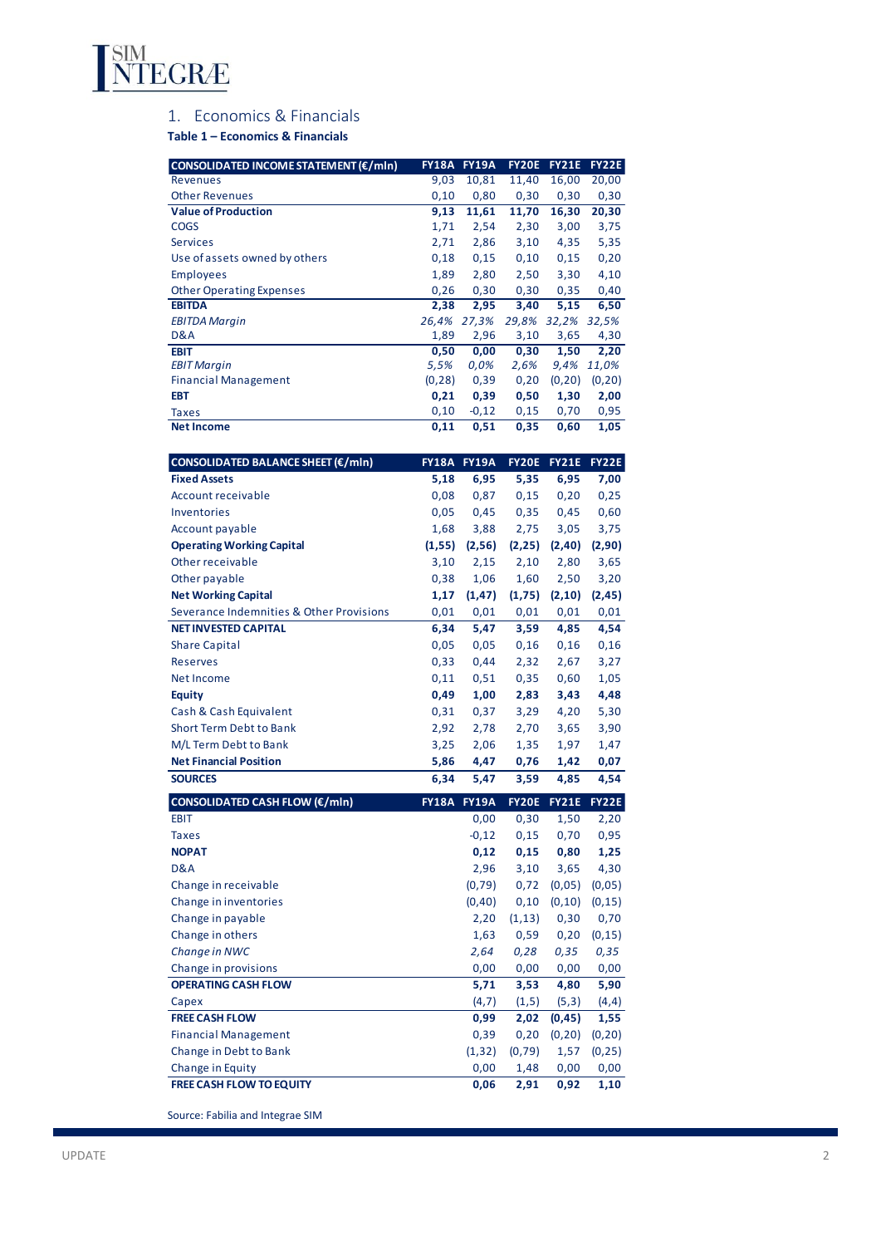

# 1. Economics & Financials

**Table 1 – Economics & Financials**

| CONSOLIDATED INCOME STATEMENT (€/mln) | <b>FY18A</b> | <b>FY19A</b> | <b>FY20E</b> | <b>FY21E</b> | <b>FY22E</b> |
|---------------------------------------|--------------|--------------|--------------|--------------|--------------|
| Revenues                              | 9,03         | 10,81        | 11,40        | 16,00        | 20,00        |
| <b>Other Revenues</b>                 | 0,10         | 0,80         | 0,30         | 0,30         | 0,30         |
| <b>Value of Production</b>            | 9,13         | 11,61        | 11,70        | 16,30        | 20,30        |
| <b>COGS</b>                           | 1,71         | 2,54         | 2,30         | 3,00         | 3,75         |
| <b>Services</b>                       | 2,71         | 2,86         | 3,10         | 4,35         | 5,35         |
| Use of assets owned by others         | 0,18         | 0,15         | 0,10         | 0,15         | 0,20         |
| <b>Employees</b>                      | 1,89         | 2,80         | 2,50         | 3,30         | 4,10         |
| <b>Other Operating Expenses</b>       | 0,26         | 0,30         | 0,30         | 0,35         | 0,40         |
| <b>EBITDA</b>                         | 2,38         | 2,95         | 3,40         | 5,15         | 6,50         |
| <b>EBITDA Margin</b>                  | 26,4%        | 27,3%        | 29,8%        | 32,2%        | 32,5%        |
| D&A                                   | 1,89         | 2,96         | 3,10         | 3,65         | 4,30         |
| <b>EBIT</b>                           | 0,50         | 0,00         | 0,30         | 1,50         | 2,20         |
| <b>EBIT Margin</b>                    | 5,5%         | 0,0%         | 2,6%         | 9,4%         | 11,0%        |
| <b>Financial Management</b>           | (0, 28)      | 0,39         | 0,20         | (0, 20)      | (0, 20)      |
| <b>EBT</b>                            | 0,21         | 0,39         | 0,50         | 1,30         | 2,00         |
| Taxes                                 | 0,10         | $-0,12$      | 0,15         | 0,70         | 0,95         |
| <b>Net Income</b>                     | 0,11         | 0,51         | 0,35         | 0,60         | 1,05         |

| CONSOLIDATED BALANCE SHEET (€/mln)       | <b>FY18A</b> | <b>FY19A</b> | <b>FY20E</b> | <b>FY21E</b> | <b>FY22E</b> |
|------------------------------------------|--------------|--------------|--------------|--------------|--------------|
| <b>Fixed Assets</b>                      | 5,18         | 6,95         | 5,35         | 6,95         | 7,00         |
| Account receivable                       | 0,08         | 0,87         | 0,15         | 0,20         | 0,25         |
| Inventories                              | 0,05         | 0,45         | 0,35         | 0,45         | 0,60         |
| Account payable                          | 1,68         | 3,88         | 2,75         | 3,05         | 3,75         |
| <b>Operating Working Capital</b>         | (1, 55)      | (2, 56)      | (2, 25)      | (2, 40)      | (2,90)       |
| Other receivable                         | 3,10         | 2,15         | 2,10         | 2,80         | 3,65         |
| Other payable                            | 0,38         | 1,06         | 1,60         | 2,50         | 3,20         |
| <b>Net Working Capital</b>               | 1,17         | (1, 47)      | (1,75)       | (2, 10)      | (2, 45)      |
| Severance Indemnities & Other Provisions | 0,01         | 0,01         | 0,01         | 0,01         | 0,01         |
| <b>NET INVESTED CAPITAL</b>              | 6,34         | 5,47         | 3,59         | 4,85         | 4,54         |
| <b>Share Capital</b>                     | 0,05         | 0,05         | 0,16         | 0,16         | 0,16         |
| <b>Reserves</b>                          | 0,33         | 0,44         | 2,32         | 2,67         | 3,27         |
| <b>Net Income</b>                        | 0,11         | 0,51         | 0,35         | 0,60         | 1,05         |
| Equity                                   | 0,49         | 1,00         | 2,83         | 3,43         | 4,48         |
| Cash & Cash Equivalent                   | 0,31         | 0,37         | 3,29         | 4,20         | 5,30         |
| <b>Short Term Debt to Bank</b>           | 2,92         | 2,78         | 2,70         | 3,65         | 3,90         |
| M/L Term Debt to Bank                    | 3,25         | 2,06         | 1,35         | 1,97         | 1,47         |
| <b>Net Financial Position</b>            | 5,86         | 4,47         | 0,76         | 1,42         | 0,07         |
| <b>SOURCES</b>                           | 6,34         | 5,47         | 3,59         | 4,85         | 4,54         |
| <b>CONSOLIDATED CASH FLOW (€/mln)</b>    | <b>FY18A</b> | <b>FY19A</b> | <b>FY20E</b> | <b>FY21E</b> | <b>FY22E</b> |
| <b>EBIT</b>                              |              | 0,00         | 0,30         | 1,50         | 2,20         |
| <b>Taxes</b>                             |              | $-0,12$      | 0,15         | 0,70         | 0,95         |
| <b>NOPAT</b>                             |              | 0,12         | 0,15         | 0,80         | 1,25         |
| <b>D&amp;A</b>                           |              | 2,96         | 3,10         | 3,65         | 4,30         |
| Change in receivable                     |              | (0, 79)      | 0,72         | (0,05)       | (0, 05)      |
| Change in inventories                    |              | (0, 40)      | 0,10         | (0, 10)      | (0, 15)      |
| Change in payable                        |              | 2,20         | (1, 13)      | 0,30         | 0,70         |
| Change in others                         |              | 1,63         | 0,59         | 0,20         | (0, 15)      |
| Change in NWC                            |              | 2,64         | 0,28         | 0,35         | 0,35         |
| Change in provisions                     |              | 0,00         | 0,00         | 0,00         | 0,00         |
| <b>OPERATING CASH FLOW</b>               |              | 5,71         | 3,53         | 4,80         | 5,90         |
| Capex                                    |              | (4,7)        | (1,5)        | (5,3)        | (4, 4)       |
| <b>FREE CASH FLOW</b>                    |              |              | 2,02         | (0, 45)      | 1,55         |
|                                          |              | 0,99         |              |              |              |
| <b>Financial Management</b>              |              | 0,39         | 0,20         | (0, 20)      | (0, 20)      |
| Change in Debt to Bank                   |              | (1, 32)      | (0, 79)      | 1,57         | (0, 25)      |
| Change in Equity                         |              | 0,00         | 1,48         | 0,00         | 0,00         |

Source: Fabilia and Integrae SIM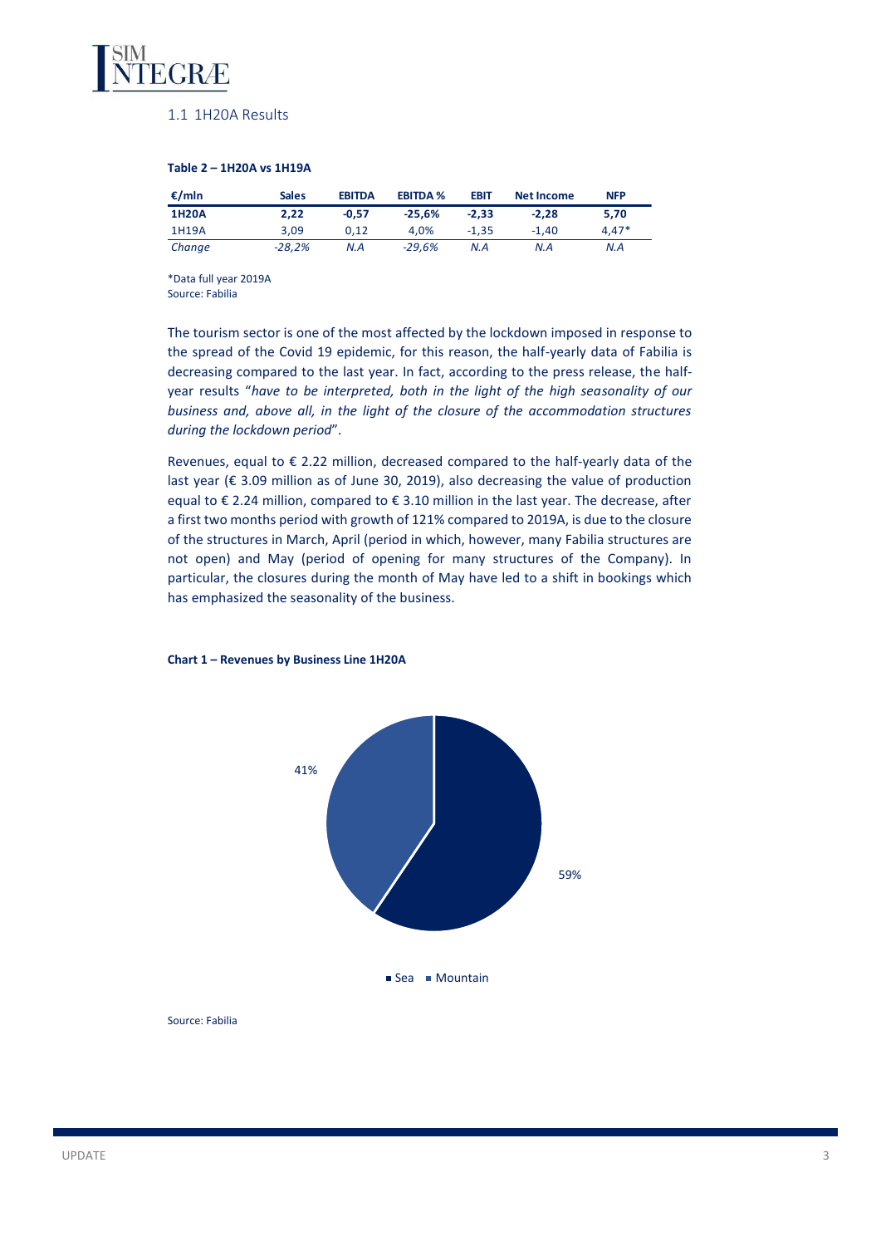

## 1.1 1H20A Results

### **Table 2 – 1H20A vs 1H19A**

| €/mln        | <b>Sales</b> | <b>EBITDA</b> | <b>EBITDA %</b> | <b>EBIT</b> | <b>Net Income</b> | <b>NFP</b> |
|--------------|--------------|---------------|-----------------|-------------|-------------------|------------|
| <b>1H20A</b> | 2.22         | $-0.57$       | $-25.6%$        | $-2.33$     | $-2.28$           | 5.70       |
| 1H19A        | 3.09         | 0.12          | 4.0%            | $-1.35$     | $-1.40$           | $4.47*$    |
| Change       | $-28.2%$     | N.A           | $-29.6%$        | N.A         | N.A               | N.A        |

\*Data full year 2019A Source: Fabilia

The tourism sector is one of the most affected by the lockdown imposed in response to the spread of the Covid 19 epidemic, for this reason, the half-yearly data of Fabilia is decreasing compared to the last year. In fact, according to the press release, the halfyear results "*have to be interpreted, both in the light of the high seasonality of our business and, above all, in the light of the closure of the accommodation structures during the lockdown period*".

Revenues, equal to € 2.22 million, decreased compared to the half-yearly data of the last year (€ 3.09 million as of June 30, 2019), also decreasing the value of production equal to € 2.24 million, compared to € 3.10 million in the last year. The decrease, after a first two months period with growth of 121% compared to 2019A, is due to the closure of the structures in March, April (period in which, however, many Fabilia structures are not open) and May (period of opening for many structures of the Company). In particular, the closures during the month of May have led to a shift in bookings which has emphasized the seasonality of the business.



### **Chart 1 – Revenues by Business Line 1H20A**

Source: Fabilia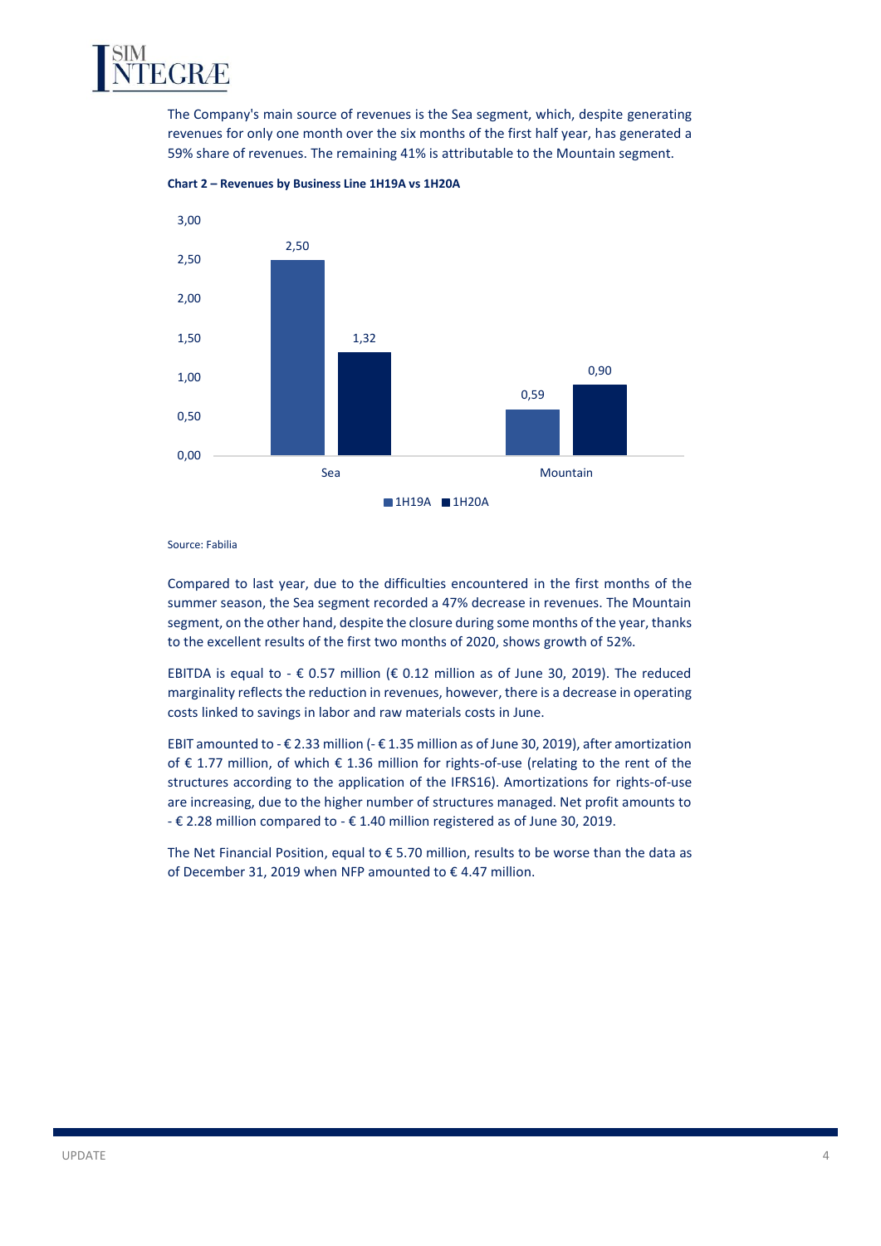

The Company's main source of revenues is the Sea segment, which, despite generating revenues for only one month over the six months of the first half year, has generated a 59% share of revenues. The remaining 41% is attributable to the Mountain segment.



**Chart 2 – Revenues by Business Line 1H19A vs 1H20A**

Source: Fabilia

Compared to last year, due to the difficulties encountered in the first months of the summer season, the Sea segment recorded a 47% decrease in revenues. The Mountain segment, on the other hand, despite the closure during some months of the year, thanks to the excellent results of the first two months of 2020, shows growth of 52%.

EBITDA is equal to -  $\epsilon$  0.57 million ( $\epsilon$  0.12 million as of June 30, 2019). The reduced marginality reflects the reduction in revenues, however, there is a decrease in operating costs linked to savings in labor and raw materials costs in June.

EBIT amounted to - € 2.33 million (- € 1.35 million as of June 30, 2019), after amortization of € 1.77 million, of which € 1.36 million for rights-of-use (relating to the rent of the structures according to the application of the IFRS16). Amortizations for rights-of-use are increasing, due to the higher number of structures managed. Net profit amounts to - € 2.28 million compared to - € 1.40 million registered as of June 30, 2019.

The Net Financial Position, equal to  $\epsilon$  5.70 million, results to be worse than the data as of December 31, 2019 when NFP amounted to € 4.47 million.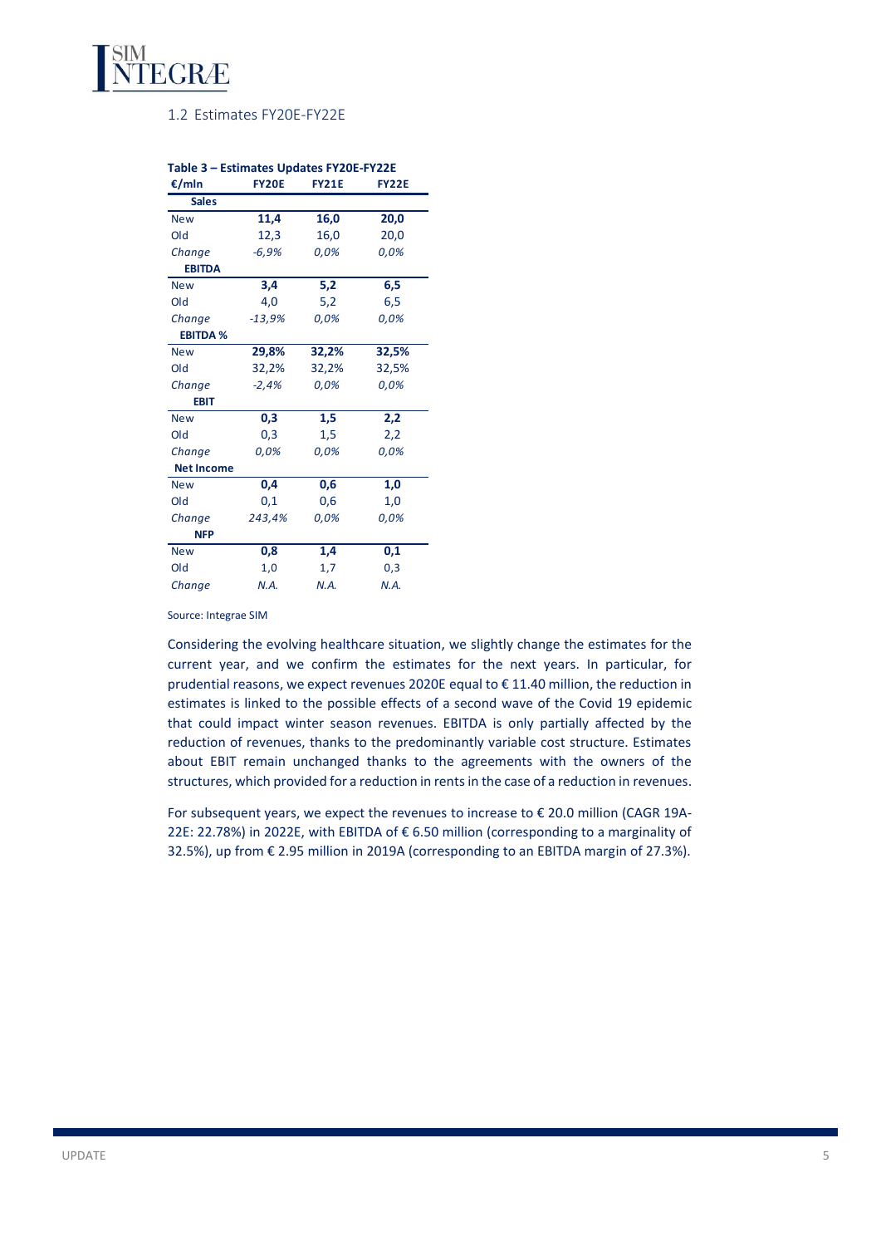

## 1.2 Estimates FY20E-FY22E

| €/mln             | <b>FY20E</b> | <b>FY21E</b> | <b>FY22E</b> |
|-------------------|--------------|--------------|--------------|
| <b>Sales</b>      |              |              |              |
| <b>New</b>        | 11,4         | 16,0         | 20,0         |
| Old               | 12,3         | 16,0         | 20,0         |
| Change            | $-6,9%$      | 0,0%         | 0,0%         |
| <b>EBITDA</b>     |              |              |              |
| <b>New</b>        | 3,4          | 5,2          | 6,5          |
| Old               | 4,0          | 5,2          | 6,5          |
| Change            | $-13,9%$     | 0,0%         | 0,0%         |
| <b>EBITDA %</b>   |              |              |              |
| <b>New</b>        | 29,8%        | 32,2%        | 32,5%        |
| Old               | 32,2%        | 32,2%        | 32,5%        |
| Change            | $-2,4%$      | 0,0%         | 0,0%         |
| <b>EBIT</b>       |              |              |              |
| <b>New</b>        | 0,3          | 1,5          | 2,2          |
| Old               | 0,3          | 1,5          | 2,2          |
| Change            | 0,0%         | 0,0%         | 0,0%         |
| <b>Net Income</b> |              |              |              |
| <b>New</b>        | 0,4          | 0,6          | 1,0          |
| Old               | 0,1          | 0,6          | 1,0          |
| Change            | 243,4%       | 0,0%         | 0,0%         |
| <b>NFP</b>        |              |              |              |
| <b>New</b>        | 0,8          | 1,4          | 0,1          |
| Old               | 1,0          | 1,7          | 0,3          |
| Change            | N.A.         | N.A.         | N.A.         |

## **Table 3 – Estimates Updates FY20E-FY22E**

#### Source: Integrae SIM

Considering the evolving healthcare situation, we slightly change the estimates for the current year, and we confirm the estimates for the next years. In particular, for prudential reasons, we expect revenues 2020E equal to € 11.40 million, the reduction in estimates is linked to the possible effects of a second wave of the Covid 19 epidemic that could impact winter season revenues. EBITDA is only partially affected by the reduction of revenues, thanks to the predominantly variable cost structure. Estimates about EBIT remain unchanged thanks to the agreements with the owners of the structures, which provided for a reduction in rents in the case of a reduction in revenues.

For subsequent years, we expect the revenues to increase to  $\epsilon$  20.0 million (CAGR 19A-22E: 22.78%) in 2022E, with EBITDA of € 6.50 million (corresponding to a marginality of 32.5%), up from € 2.95 million in 2019A (corresponding to an EBITDA margin of 27.3%).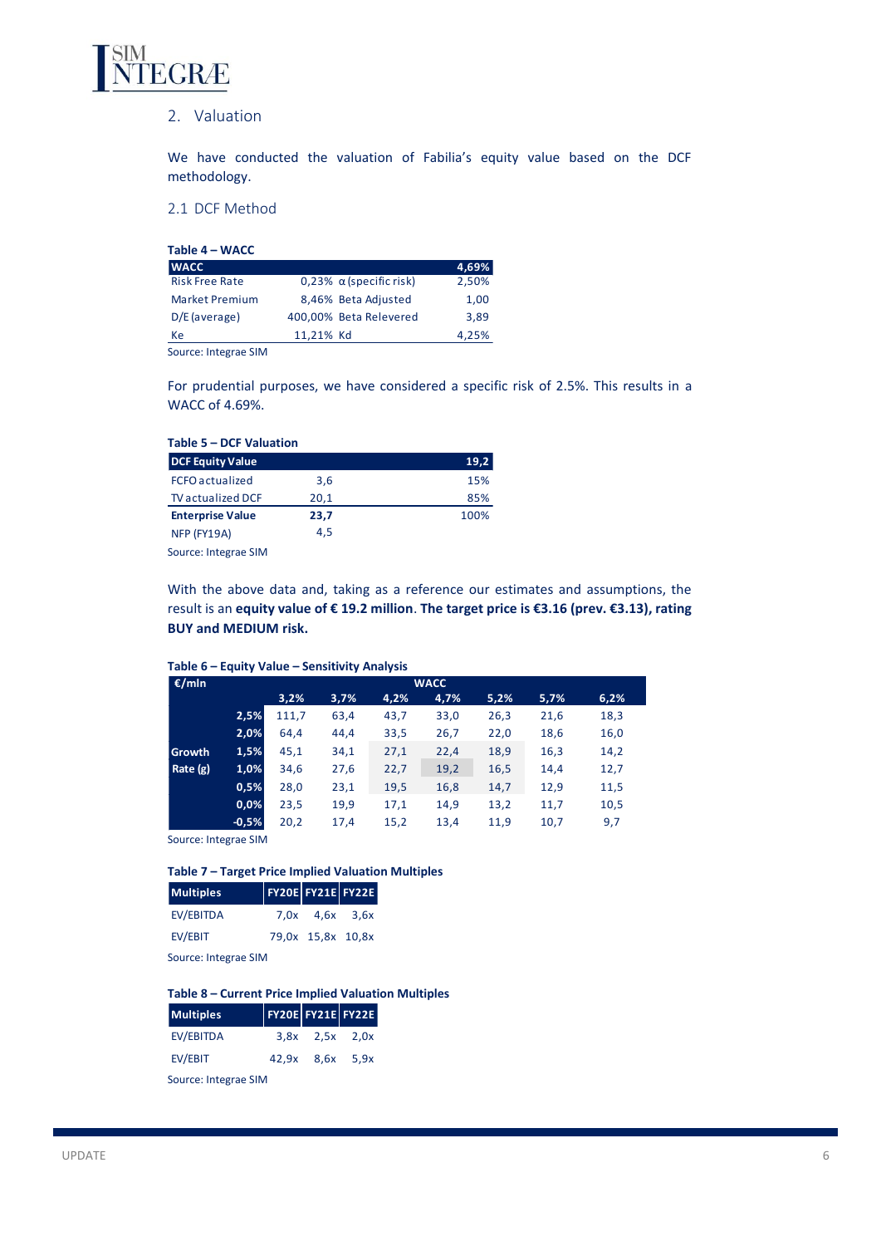

## 2. Valuation

We have conducted the valuation of Fabilia's equity value based on the DCF methodology.

2.1 DCF Method

| Table 4 - WACC        |           |                                |       |
|-----------------------|-----------|--------------------------------|-------|
| <b>WACC</b>           |           |                                | 4,69% |
| <b>Risk Free Rate</b> |           | 0,23% $\alpha$ (specific risk) | 2,50% |
| <b>Market Premium</b> |           | 8,46% Beta Adjusted            | 1,00  |
| $D/E$ (average)       |           | 400,00% Beta Relevered         | 3,89  |
| Кe                    | 11,21% Kd |                                | 4,25% |

Source: Integrae SIM

For prudential purposes, we have considered a specific risk of 2.5%. This results in a WACC of 4.69%.

| Table 5 - DCF Valuation  |      |      |
|--------------------------|------|------|
| <b>DCF Equity Value</b>  |      | 19,2 |
| <b>FCFO</b> actualized   | 3,6  | 15%  |
| <b>TV</b> actualized DCF | 20,1 | 85%  |
| <b>Enterprise Value</b>  | 23,7 | 100% |
| NFP (FY19A)              | 4.5  |      |
| Source: Integrae SIM     |      |      |

With the above data and, taking as a reference our estimates and assumptions, the result is an **equity value of € 19.2 million**. **The target price is €3.16 (prev. €3.13), rating BUY and MEDIUM risk.**

## **Table 6 – Equity Value – Sensitivity Analysis**

| €/mln         |         | Table 6 - Equity Value - Sensitivity Analysis<br><b>WACC</b> |      |      |      |      |      |      |
|---------------|---------|--------------------------------------------------------------|------|------|------|------|------|------|
|               |         | 3,2%                                                         | 3,7% | 4,2% | 4,7% | 5,2% | 5,7% | 6,2% |
|               | 2,5%    | 111,7                                                        | 63,4 | 43,7 | 33,0 | 26,3 | 21,6 | 18,3 |
|               | 2,0%    | 64.4                                                         | 44,4 | 33,5 | 26,7 | 22,0 | 18,6 | 16,0 |
| <b>Growth</b> | 1,5%    | 45,1                                                         | 34,1 | 27,1 | 22,4 | 18,9 | 16,3 | 14,2 |
| Rate $(g)$    | 1,0%    | 34,6                                                         | 27,6 | 22,7 | 19,2 | 16,5 | 14,4 | 12,7 |
|               | 0,5%    | 28,0                                                         | 23,1 | 19,5 | 16,8 | 14,7 | 12,9 | 11,5 |
|               | 0,0%    | 23,5                                                         | 19,9 | 17,1 | 14,9 | 13,2 | 11,7 | 10,5 |
|               | $-0,5%$ | 20,2                                                         | 17,4 | 15,2 | 13,4 | 11,9 | 10,7 | 9,7  |

Source: Integrae SIM

### **Table 7 – Target Price Implied Valuation Multiples**

| $7.0x$ $4.6x$ $3.6x$ |
|----------------------|
| 79,0x 15,8x 10,8x    |
|                      |

Source: Integrae SIM

## **Table 8 – Current Price Implied Valuation Multiples**

| <b>Multiples</b>     |  |                      | <b>FY20E FY21E FY22E</b> |  |  |
|----------------------|--|----------------------|--------------------------|--|--|
| EV/EBITDA            |  | $3,8x$ $2,5x$ $2,0x$ |                          |  |  |
| EV/EBIT              |  | 42,9x 8,6x 5,9x      |                          |  |  |
| Source: Integrae SIM |  |                      |                          |  |  |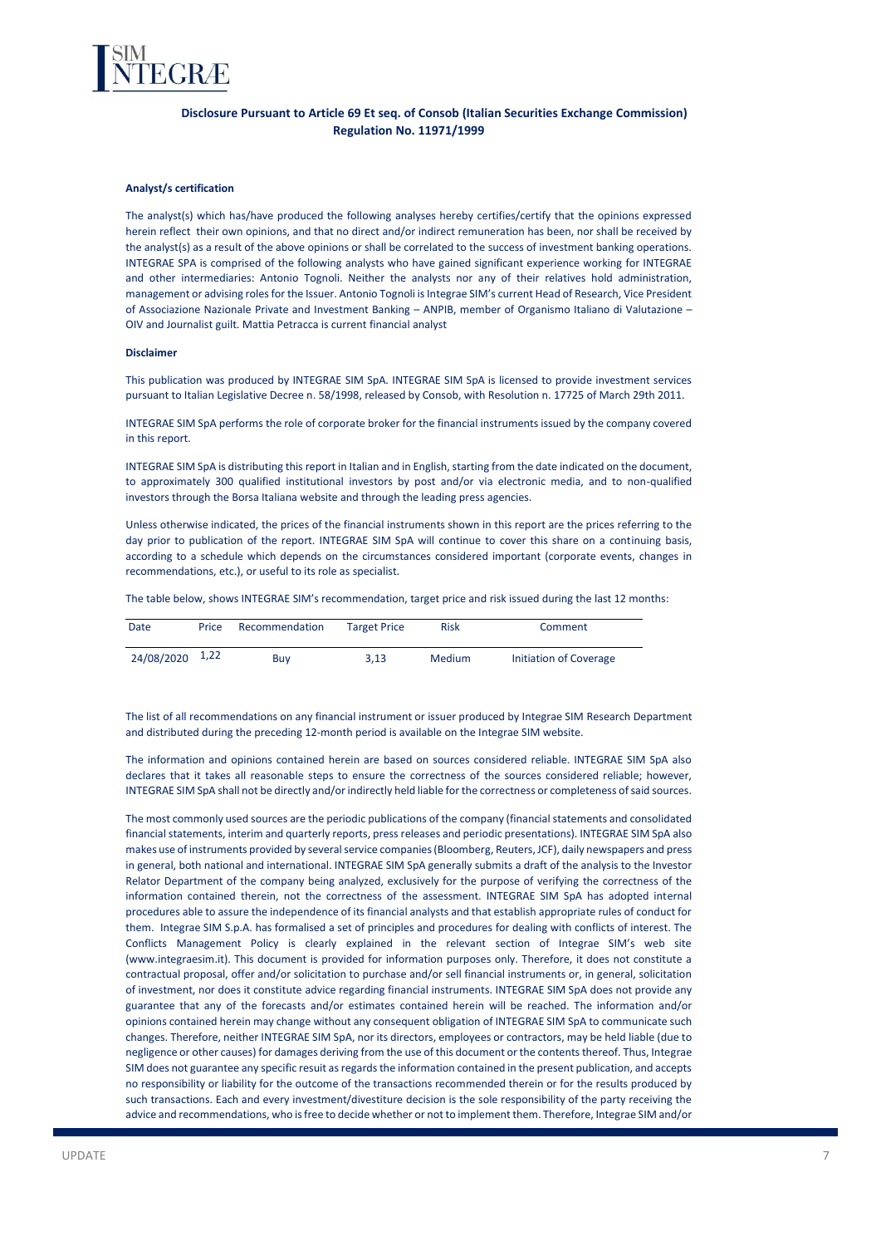

## **Disclosure Pursuant to Article 69 Et seq. of Consob (Italian Securities Exchange Commission) Regulation No. 11971/1999**

#### **Analyst/s certification**

The analyst(s) which has/have produced the following analyses hereby certifies/certify that the opinions expressed herein reflect their own opinions, and that no direct and/or indirect remuneration has been, nor shall be received by the analyst(s) as a result of the above opinions or shall be correlated to the success of investment banking operations. INTEGRAE SPA is comprised of the following analysts who have gained significant experience working for INTEGRAE and other intermediaries: Antonio Tognoli. Neither the analysts nor any of their relatives hold administration, management or advising roles for the Issuer. Antonio Tognoli is Integrae SIM's current Head of Research, Vice President of Associazione Nazionale Private and Investment Banking – ANPIB, member of Organismo Italiano di Valutazione – OIV and Journalist guilt. Mattia Petracca is current financial analyst

#### **Disclaimer**

This publication was produced by INTEGRAE SIM SpA. INTEGRAE SIM SpA is licensed to provide investment services pursuant to Italian Legislative Decree n. 58/1998, released by Consob, with Resolution n. 17725 of March 29th 2011.

INTEGRAE SIM SpA performs the role of corporate broker for the financial instruments issued by the company covered in this report.

INTEGRAE SIM SpA is distributing this report in Italian and in English, starting from the date indicated on the document, to approximately 300 qualified institutional investors by post and/or via electronic media, and to non-qualified investors through the Borsa Italiana website and through the leading press agencies.

Unless otherwise indicated, the prices of the financial instruments shown in this report are the prices referring to the day prior to publication of the report. INTEGRAE SIM SpA will continue to cover this share on a continuing basis, according to a schedule which depends on the circumstances considered important (corporate events, changes in recommendations, etc.), or useful to its role as specialist.

The table below, shows INTEGRAE SIM's recommendation, target price and risk issued during the last 12 months:

| Date            | Price | Recommendation | <b>Target Price</b> | <b>Risk</b> | Comment                |
|-----------------|-------|----------------|---------------------|-------------|------------------------|
| 24/08/2020 1,22 |       | Buv            | 3.13                | Medium      | Initiation of Coverage |

The list of all recommendations on any financial instrument or issuer produced by Integrae SIM Research Department and distributed during the preceding 12-month period is available on the Integrae SIM website.

The information and opinions contained herein are based on sources considered reliable. INTEGRAE SIM SpA also declares that it takes all reasonable steps to ensure the correctness of the sources considered reliable; however, INTEGRAE SIM SpA shall not be directly and/or indirectly held liable for the correctness or completeness of said sources.

The most commonly used sources are the periodic publications of the company (financial statements and consolidated financial statements, interim and quarterly reports, press releases and periodic presentations). INTEGRAE SIM SpA also makes use of instruments provided by several service companies (Bloomberg, Reuters, JCF), daily newspapers and press in general, both national and international. INTEGRAE SIM SpA generally submits a draft of the analysis to the Investor Relator Department of the company being analyzed, exclusively for the purpose of verifying the correctness of the information contained therein, not the correctness of the assessment. INTEGRAE SIM SpA has adopted internal procedures able to assure the independence of its financial analysts and that establish appropriate rules of conduct for them. Integrae SIM S.p.A. has formalised a set of principles and procedures for dealing with conflicts of interest. The Conflicts Management Policy is clearly explained in the relevant section of Integrae SIM's web site (www.integraesim.it). This document is provided for information purposes only. Therefore, it does not constitute a contractual proposal, offer and/or solicitation to purchase and/or sell financial instruments or, in general, solicitation of investment, nor does it constitute advice regarding financial instruments. INTEGRAE SIM SpA does not provide any guarantee that any of the forecasts and/or estimates contained herein will be reached. The information and/or opinions contained herein may change without any consequent obligation of INTEGRAE SIM SpA to communicate such changes. Therefore, neither INTEGRAE SIM SpA, nor its directors, employees or contractors, may be held liable (due to negligence or other causes) for damages deriving from the use of this document or the contents thereof. Thus, Integrae SIM does not guarantee any specific resuit as regards the information contained in the present publication, and accepts no responsibility or liability for the outcome of the transactions recommended therein or for the results produced by such transactions. Each and every investment/divestiture decision is the sole responsibility of the party receiving the advice and recommendations, who is free to decide whether or not to implement them. Therefore, Integrae SIM and/or